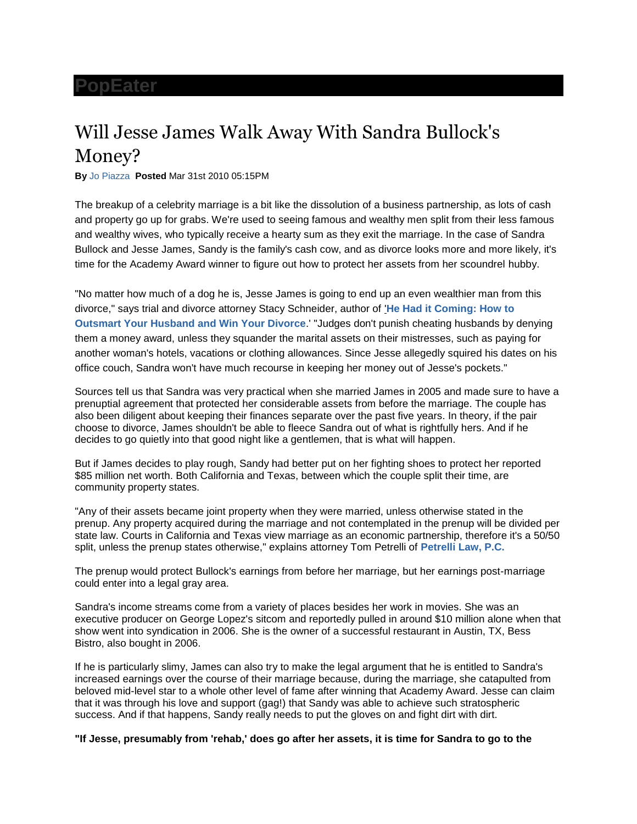## **[PopEater](http://www.popeater.com/)**

## Will Jesse James Walk Away With Sandra Bullock's Money?

**By** [Jo Piazza](http://www.popeater.com/bloggers/jo-piazza/) **Posted** Mar 31st 2010 05:15PM

The breakup of a celebrity marriage is a bit like the dissolution of a business partnership, as lots of cash and property go up for grabs. We're used to seeing famous and wealthy men split from their less famous and wealthy wives, who typically receive a hearty sum as they exit the marriage. In the case of Sandra Bullock and Jesse James, Sandy is the family's cash cow, and as divorce looks more and more likely, it's time for the Academy Award winner to figure out how to protect her assets from her scoundrel hubby.

"No matter how much of a dog he is, Jesse James is going to end up an even wealthier man from this divorce," says trial and divorce attorney Stacy Schneider, author of '**[He Had it Coming: How to](http://www.hehaditcomingbook.com/)  [Outsmart Your Husband and Win Your Divorce](http://www.hehaditcomingbook.com/)**.' "Judges don't punish cheating husbands by denying them a money award, unless they squander the marital assets on their mistresses, such as paying for another woman's hotels, vacations or clothing allowances. Since Jesse allegedly squired his dates on his office couch, Sandra won't have much recourse in keeping her money out of Jesse's pockets."

Sources tell us that Sandra was very practical when she married James in 2005 and made sure to have a prenuptial agreement that protected her considerable assets from before the marriage. The couple has also been diligent about keeping their finances separate over the past five years. In theory, if the pair choose to divorce, James shouldn't be able to fleece Sandra out of what is rightfully hers. And if he decides to go quietly into that good night like a gentlemen, that is what will happen.

But if James decides to play rough, Sandy had better put on her fighting shoes to protect her reported \$85 million net worth. Both California and Texas, between which the couple split their time, are community property states.

"Any of their assets became joint property when they were married, unless otherwise stated in the prenup. Any property acquired during the marriage and not contemplated in the prenup will be divided per state law. Courts in California and Texas view marriage as an economic partnership, therefore it's a 50/50 split, unless the prenup states otherwise," explains attorney Tom Petrelli of **[Petrelli Law, P.C.](http://www.petrellilaw.com/)**

The prenup would protect Bullock's earnings from before her marriage, but her earnings post-marriage could enter into a legal gray area.

Sandra's income streams come from a variety of places besides her work in movies. She was an executive producer on George Lopez's sitcom and reportedly pulled in around \$10 million alone when that show went into syndication in 2006. She is the owner of a successful restaurant in Austin, TX, Bess Bistro, also bought in 2006.

If he is particularly slimy, James can also try to make the legal argument that he is entitled to Sandra's increased earnings over the course of their marriage because, during the marriage, she catapulted from beloved mid-level star to a whole other level of fame after winning that Academy Award. Jesse can claim that it was through his love and support (gag!) that Sandy was able to achieve such stratospheric success. And if that happens, Sandy really needs to put the gloves on and fight dirt with dirt.

**"If Jesse, presumably from 'rehab,' does go after her assets, it is time for Sandra to go to the**